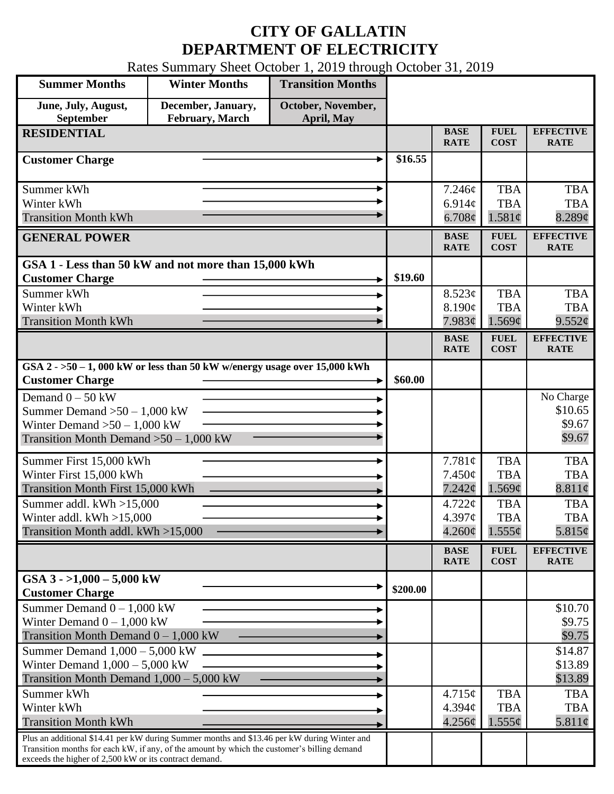## **CITY OF GALLATIN DEPARTMENT OF ELECTRICITY**

Rates Summary Sheet October 1, 2019 through October 31, 2019

| <b>Summer Months</b>                                                                                                                                  | <b>Winter Months</b> | <b>Transition Months</b> |          |                            |                            |                                 |
|-------------------------------------------------------------------------------------------------------------------------------------------------------|----------------------|--------------------------|----------|----------------------------|----------------------------|---------------------------------|
| June, July, August,                                                                                                                                   | December, January,   | October, November,       |          |                            |                            |                                 |
| September<br>February, March<br>April, May                                                                                                            |                      |                          |          |                            |                            |                                 |
| <b>RESIDENTIAL</b>                                                                                                                                    |                      |                          |          | <b>BASE</b><br><b>RATE</b> | <b>FUEL</b><br><b>COST</b> | <b>EFFECTIVE</b><br><b>RATE</b> |
| <b>Customer Charge</b>                                                                                                                                |                      |                          | \$16.55  |                            |                            |                                 |
|                                                                                                                                                       |                      |                          |          |                            |                            |                                 |
| Summer kWh<br>Winter kWh                                                                                                                              |                      |                          |          | 7.246¢                     | <b>TBA</b>                 | <b>TBA</b><br><b>TBA</b>        |
| <b>Transition Month kWh</b>                                                                                                                           |                      |                          |          | 6.914 $\phi$               | <b>TBA</b>                 |                                 |
|                                                                                                                                                       |                      |                          |          | $6.708\phi$                | 1.581¢                     | $8.289$ ¢                       |
| <b>GENERAL POWER</b>                                                                                                                                  |                      |                          |          | <b>BASE</b><br><b>RATE</b> | <b>FUEL</b><br><b>COST</b> | <b>EFFECTIVE</b><br><b>RATE</b> |
| GSA 1 - Less than 50 kW and not more than 15,000 kWh                                                                                                  |                      |                          |          |                            |                            |                                 |
| <b>Customer Charge</b>                                                                                                                                |                      |                          | \$19.60  |                            |                            |                                 |
| Summer kWh                                                                                                                                            |                      |                          |          | 8.523¢                     | <b>TBA</b>                 | <b>TBA</b>                      |
| Winter kWh                                                                                                                                            |                      |                          |          | 8.190c                     | <b>TBA</b>                 | <b>TBA</b>                      |
| <b>Transition Month kWh</b>                                                                                                                           |                      |                          |          | 7.983¢                     | 1.569¢                     | 9.552¢                          |
|                                                                                                                                                       |                      |                          |          | <b>BASE</b><br><b>RATE</b> | <b>FUEL</b><br><b>COST</b> | <b>EFFECTIVE</b><br><b>RATE</b> |
| GSA $2 - 50 - 1$ , 000 kW or less than 50 kW w/energy usage over 15,000 kWh                                                                           |                      |                          |          |                            |                            |                                 |
| <b>Customer Charge</b>                                                                                                                                |                      |                          | \$60.00  |                            |                            |                                 |
| Demand $0 - 50$ kW                                                                                                                                    |                      |                          |          |                            |                            | No Charge                       |
| Summer Demand $>50 - 1,000$ kW                                                                                                                        |                      |                          |          |                            |                            | \$10.65                         |
| Winter Demand $>50-1,000$ kW                                                                                                                          |                      |                          |          |                            |                            | \$9.67                          |
| Transition Month Demand $>50-1,000$ kW                                                                                                                |                      |                          |          |                            |                            | \$9.67                          |
| Summer First 15,000 kWh                                                                                                                               |                      |                          |          | 7.781¢                     | <b>TBA</b>                 | <b>TBA</b>                      |
| Winter First 15,000 kWh                                                                                                                               |                      |                          |          | $7.450\phi$                | <b>TBA</b>                 | <b>TBA</b>                      |
| Transition Month First 15,000 kWh                                                                                                                     |                      |                          |          | 7.242¢                     | $1.569\mathcal{C}$         | 8.811¢                          |
| Summer addl. $kWh > 15,000$                                                                                                                           |                      |                          |          | 4.722¢                     | <b>TBA</b>                 | <b>TBA</b>                      |
| Winter addl. $kWh > 15,000$                                                                                                                           |                      |                          |          | 4.397¢                     | <b>TBA</b>                 | <b>TBA</b>                      |
| Transition Month addl. kWh >15,000                                                                                                                    |                      |                          |          | $4.260\phi$                | $1.555\phi$                | 5.815¢                          |
|                                                                                                                                                       |                      |                          |          | <b>BASE</b><br><b>RATE</b> | <b>FUEL</b><br><b>COST</b> | <b>EFFECTIVE</b><br><b>RATE</b> |
| GSA $3 - 1,000 - 5,000$ kW                                                                                                                            |                      |                          |          |                            |                            |                                 |
| <b>Customer Charge</b>                                                                                                                                |                      |                          | \$200.00 |                            |                            |                                 |
| Summer Demand $0 - 1,000$ kW                                                                                                                          |                      |                          |          |                            |                            | \$10.70                         |
| Winter Demand $0 - 1,000$ kW                                                                                                                          |                      |                          |          |                            |                            | \$9.75                          |
| Transition Month Demand $0 - 1,000$ kW                                                                                                                |                      |                          |          |                            |                            | \$9.75                          |
| Summer Demand $1,000 - 5,000$ kW                                                                                                                      |                      |                          |          |                            |                            | \$14.87                         |
| Winter Demand $1,000 - 5,000$ kW                                                                                                                      |                      |                          |          |                            |                            | \$13.89                         |
| Transition Month Demand $1,000 - 5,000$ kW                                                                                                            |                      |                          |          |                            |                            | \$13.89                         |
| Summer kWh                                                                                                                                            |                      |                          |          | 4.715¢                     | <b>TBA</b>                 | <b>TBA</b>                      |
| Winter kWh                                                                                                                                            |                      |                          |          | 4.394c                     | <b>TBA</b>                 | <b>TBA</b>                      |
| <b>Transition Month kWh</b>                                                                                                                           |                      |                          |          | 4.256¢                     | $1.555\phi$                | 5.811¢                          |
| Plus an additional \$14.41 per kW during Summer months and \$13.46 per kW during Winter and                                                           |                      |                          |          |                            |                            |                                 |
| Transition months for each kW, if any, of the amount by which the customer's billing demand<br>exceeds the higher of 2,500 kW or its contract demand. |                      |                          |          |                            |                            |                                 |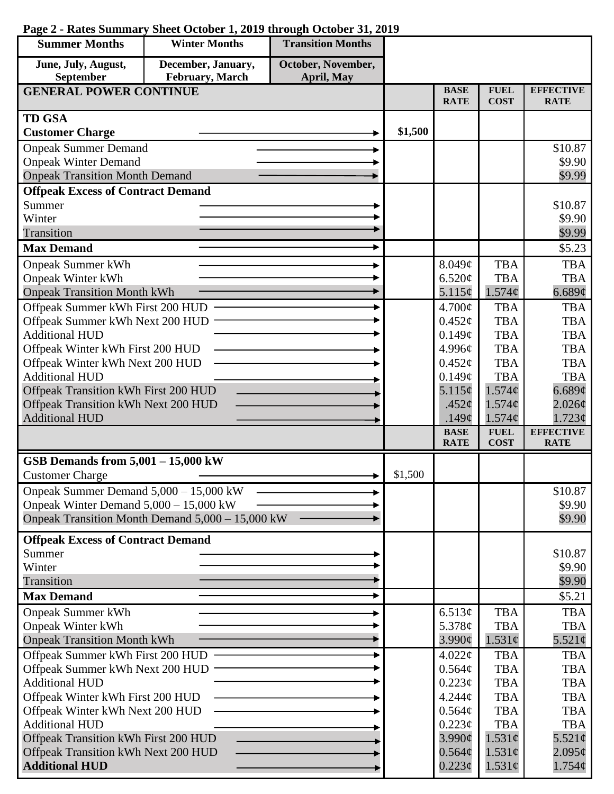| <b>Summer Months</b>                             | <b>Winter Months</b> | <b>Transition Months</b> |         |                            |                            |                                 |
|--------------------------------------------------|----------------------|--------------------------|---------|----------------------------|----------------------------|---------------------------------|
| June, July, August,                              | December, January,   | October, November,       |         |                            |                            |                                 |
| September<br>February, March<br>April, May       |                      |                          |         |                            |                            |                                 |
| <b>GENERAL POWER CONTINUE</b>                    |                      |                          |         | <b>BASE</b><br><b>RATE</b> | <b>FUEL</b><br><b>COST</b> | <b>EFFECTIVE</b><br><b>RATE</b> |
| <b>TD GSA</b>                                    |                      |                          |         |                            |                            |                                 |
| <b>Customer Charge</b>                           |                      |                          | \$1,500 |                            |                            |                                 |
| <b>Onpeak Summer Demand</b>                      |                      |                          |         |                            |                            | \$10.87                         |
| <b>Onpeak Winter Demand</b>                      |                      |                          |         |                            |                            | \$9.90                          |
| <b>Onpeak Transition Month Demand</b>            |                      |                          |         |                            |                            | \$9.99                          |
| <b>Offpeak Excess of Contract Demand</b>         |                      |                          |         |                            |                            |                                 |
| Summer                                           |                      |                          |         |                            |                            | \$10.87                         |
|                                                  | Winter               |                          |         |                            |                            | \$9.90                          |
| Transition                                       |                      |                          |         |                            |                            | \$9.99                          |
| <b>Max Demand</b>                                |                      |                          |         |                            |                            | \$5.23                          |
| <b>Onpeak Summer kWh</b>                         |                      |                          |         | 8.049¢                     | <b>TBA</b>                 | <b>TBA</b>                      |
| <b>Onpeak Winter kWh</b>                         |                      |                          |         | 6.520¢                     | <b>TBA</b>                 | <b>TBA</b>                      |
| <b>Onpeak Transition Month kWh</b>               |                      |                          |         | $5.115\phi$                | $1.574\phi$                | 6.689¢                          |
| Offpeak Summer kWh First 200 HUD                 |                      |                          |         | 4.700¢                     | <b>TBA</b>                 | <b>TBA</b>                      |
| Offpeak Summer kWh Next 200 HUD                  |                      |                          |         | $0.452\varphi$             | <b>TBA</b>                 | <b>TBA</b>                      |
| <b>Additional HUD</b>                            |                      |                          |         | 0.149¢                     | <b>TBA</b>                 | <b>TBA</b>                      |
| Offpeak Winter kWh First 200 HUD                 |                      |                          |         | 4.996¢                     | <b>TBA</b>                 | <b>TBA</b>                      |
| Offpeak Winter kWh Next 200 HUD                  |                      |                          |         | 0.452¢                     | <b>TBA</b>                 | <b>TBA</b>                      |
| <b>Additional HUD</b>                            |                      |                          |         | 0.149¢                     | <b>TBA</b>                 | <b>TBA</b>                      |
| Offpeak Transition kWh First 200 HUD             |                      |                          |         | 5.115¢                     | 1.574¢                     | 6.689¢                          |
| Offpeak Transition kWh Next 200 HUD              |                      |                          |         | .452 $\mathfrak{c}$        | 1.574¢                     | $2.026\phi$                     |
| <b>Additional HUD</b>                            |                      |                          |         | .149 $\mathfrak{c}$        | 1.574¢                     | 1.723¢                          |
|                                                  |                      |                          |         | <b>BASE</b><br><b>RATE</b> | <b>FUEL</b><br><b>COST</b> | <b>EFFECTIVE</b><br><b>RATE</b> |
| GSB Demands from $5,001 - 15,000$ kW             |                      |                          |         |                            |                            |                                 |
| <b>Customer Charge</b>                           |                      |                          | \$1,500 |                            |                            |                                 |
| Onpeak Summer Demand 5,000 - 15,000 kW           |                      |                          |         |                            |                            | \$10.87                         |
| Onpeak Winter Demand $5,000 - 15,000$ kW         |                      |                          |         |                            |                            | \$9.90                          |
| Onpeak Transition Month Demand 5,000 - 15,000 kW |                      |                          |         |                            |                            | \$9.90                          |
| <b>Offpeak Excess of Contract Demand</b>         |                      |                          |         |                            |                            |                                 |
| Summer                                           |                      |                          |         |                            |                            | \$10.87                         |
| Winter                                           |                      |                          |         |                            |                            | \$9.90                          |
| Transition                                       |                      |                          |         |                            |                            | \$9.90                          |
| <b>Max Demand</b>                                |                      |                          |         |                            |                            | \$5.21                          |
| <b>Onpeak Summer kWh</b>                         |                      |                          |         | 6.513¢                     | <b>TBA</b>                 | <b>TBA</b>                      |
| <b>Onpeak Winter kWh</b>                         |                      |                          |         | 5.378 $\phi$               | <b>TBA</b>                 | <b>TBA</b>                      |
| <b>Onpeak Transition Month kWh</b>               |                      |                          |         | 3.990¢                     | $1.531\phi$                | $5.521\phi$                     |
| Offpeak Summer kWh First 200 HUD                 |                      |                          |         | $4.022\ell$                | <b>TBA</b>                 | <b>TBA</b>                      |
| Offpeak Summer kWh Next 200 HUD                  |                      |                          |         | $0.564\phi$                | <b>TBA</b>                 | <b>TBA</b>                      |
| <b>Additional HUD</b>                            |                      |                          |         | $0.223\phi$                | <b>TBA</b>                 | <b>TBA</b>                      |
| Offpeak Winter kWh First 200 HUD                 |                      |                          |         | 4.244¢                     | <b>TBA</b>                 | <b>TBA</b>                      |
| Offpeak Winter kWh Next 200 HUD                  |                      |                          |         | 0.564¢                     | <b>TBA</b>                 | <b>TBA</b>                      |
| <b>Additional HUD</b>                            |                      |                          |         | $0.223\phi$                | <b>TBA</b>                 | <b>TBA</b>                      |
| Offpeak Transition kWh First 200 HUD             |                      |                          |         | $3.990\ell$                | $1.531\phi$                | $5.521\phi$                     |
| Offpeak Transition kWh Next 200 HUD              |                      |                          |         | $0.564\phi$                | $1.531\phi$                | $2.095\phi$                     |
| <b>Additional HUD</b>                            |                      |                          |         | $0.223\epsilon$            | $1.531\phi$                | $1.754\phi$                     |

## **Page 2 - Rates Summary Sheet October 1, 2019 through October 31, 2019**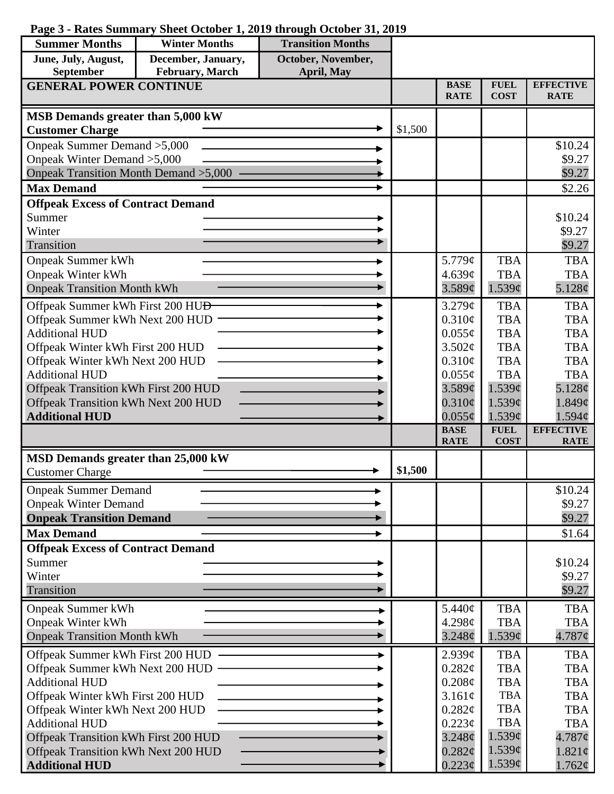| Page 3 - Rates Summary Sheet October 1, 2019 through October 31, 2019 |  |  |  |  |  |
|-----------------------------------------------------------------------|--|--|--|--|--|
|-----------------------------------------------------------------------|--|--|--|--|--|

| <b>Summer Months</b>                                                        | <b>Winter Months</b> | <b>Transition Months</b> |         |                            |                          |                                        |
|-----------------------------------------------------------------------------|----------------------|--------------------------|---------|----------------------------|--------------------------|----------------------------------------|
| June, July, August,                                                         | December, January,   | October, November,       |         |                            |                          |                                        |
| February, March<br>September<br>April, May<br><b>GENERAL POWER CONTINUE</b> |                      |                          |         | <b>BASE</b>                | <b>FUEL</b>              | <b>EFFECTIVE</b>                       |
|                                                                             |                      |                          |         | <b>RATE</b>                | <b>COST</b>              | <b>RATE</b>                            |
| MSB Demands greater than 5,000 kW                                           |                      |                          |         |                            |                          |                                        |
| <b>Customer Charge</b>                                                      |                      |                          | \$1,500 |                            |                          |                                        |
| Onpeak Summer Demand > 5,000                                                |                      |                          |         |                            |                          | \$10.24                                |
| Onpeak Winter Demand > 5,000                                                |                      |                          |         |                            |                          | \$9.27                                 |
| <b>Onpeak Transition Month Demand &gt;5,000</b>                             |                      |                          |         |                            |                          | \$9.27                                 |
| <b>Max Demand</b>                                                           |                      |                          |         |                            |                          | \$2.26                                 |
| <b>Offpeak Excess of Contract Demand</b>                                    |                      |                          |         |                            |                          |                                        |
| Summer<br>Winter                                                            |                      |                          |         |                            |                          | \$10.24                                |
| Transition                                                                  |                      |                          |         |                            |                          | \$9.27<br>\$9.27                       |
| <b>Onpeak Summer kWh</b>                                                    |                      |                          |         | 5.779¢                     | <b>TBA</b>               | <b>TBA</b>                             |
| <b>Onpeak Winter kWh</b>                                                    |                      |                          |         | 4.639¢                     | <b>TBA</b>               | <b>TBA</b>                             |
| <b>Onpeak Transition Month kWh</b>                                          |                      |                          |         | 3.589¢                     | 1.539¢                   | 5.128 $\phi$                           |
| Offpeak Summer kWh First 200 HU <del>D</del>                                |                      |                          |         | 3.279¢                     | <b>TBA</b>               | <b>TBA</b>                             |
| Offpeak Summer kWh Next 200 HUD                                             |                      |                          |         | 0.310¢                     | <b>TBA</b>               | <b>TBA</b>                             |
| <b>Additional HUD</b>                                                       |                      |                          |         | $0.055\phi$                | <b>TBA</b>               | <b>TBA</b>                             |
| Offpeak Winter kWh First 200 HUD                                            |                      |                          |         | 3.502¢                     | <b>TBA</b>               | <b>TBA</b>                             |
| Offpeak Winter kWh Next 200 HUD                                             |                      |                          |         | 0.310¢                     | <b>TBA</b>               | <b>TBA</b>                             |
| <b>Additional HUD</b>                                                       |                      |                          |         | $0.055\phi$                | <b>TBA</b>               | <b>TBA</b>                             |
| Offpeak Transition kWh First 200 HUD                                        |                      |                          |         | 3.589¢                     | $1.539\mathcal{C}$       | 5.128¢                                 |
| Offpeak Transition kWh Next 200 HUD                                         |                      |                          |         | $0.310\phi$                | 1.539¢                   | 1.849¢                                 |
| <b>Additional HUD</b>                                                       |                      |                          |         | $0.055\phi$<br><b>BASE</b> | 1.539¢<br><b>FUEL</b>    | $1.594\mathcal{C}$<br><b>EFFECTIVE</b> |
|                                                                             |                      |                          |         | <b>RATE</b>                | <b>COST</b>              | <b>RATE</b>                            |
| MSD Demands greater than 25,000 kW                                          |                      |                          |         |                            |                          |                                        |
| <b>Customer Charge</b>                                                      |                      |                          | \$1,500 |                            |                          |                                        |
| <b>Onpeak Summer Demand</b>                                                 |                      |                          |         |                            |                          | \$10.24                                |
| <b>Onpeak Winter Demand</b>                                                 |                      |                          |         |                            |                          | \$9.27                                 |
| <b>Onpeak Transition Demand</b>                                             |                      |                          |         |                            |                          | \$9.27                                 |
| <b>Max Demand</b>                                                           |                      |                          |         |                            |                          | \$1.64                                 |
| <b>Offpeak Excess of Contract Demand</b>                                    |                      |                          |         |                            |                          |                                        |
| Summer                                                                      |                      |                          |         |                            |                          | \$10.24                                |
| Winter<br>Transition                                                        |                      |                          |         |                            |                          | \$9.27<br>\$9.27                       |
|                                                                             |                      |                          |         |                            |                          |                                        |
| <b>Onpeak Summer kWh</b><br><b>Onpeak Winter kWh</b>                        |                      |                          |         | 5.440¢<br>4.298¢           | <b>TBA</b><br><b>TBA</b> | <b>TBA</b><br><b>TBA</b>               |
| <b>Onpeak Transition Month kWh</b>                                          |                      |                          |         | $3.248\mathcal{C}$         | 1.539¢                   | 4.787¢                                 |
|                                                                             |                      |                          |         |                            | <b>TBA</b>               | <b>TBA</b>                             |
| Offpeak Summer kWh First 200 HUD<br>Offpeak Summer kWh Next 200 HUD         |                      |                          |         | 2.939¢<br>0.282¢           | <b>TBA</b>               | <b>TBA</b>                             |
| <b>Additional HUD</b>                                                       |                      |                          |         | $0.208\phi$                | <b>TBA</b>               | <b>TBA</b>                             |
| Offpeak Winter kWh First 200 HUD                                            |                      |                          |         | 3.161¢                     | <b>TBA</b>               | <b>TBA</b>                             |
| Offpeak Winter kWh Next 200 HUD                                             |                      |                          |         | 0.282¢                     | <b>TBA</b>               | <b>TBA</b>                             |
| <b>Additional HUD</b>                                                       |                      |                          |         | 0.223¢                     | <b>TBA</b>               | <b>TBA</b>                             |
| Offpeak Transition kWh First 200 HUD                                        |                      |                          |         | $3.248\mathcal{C}$         | 1.539¢                   | $4.787$ ¢                              |
| Offpeak Transition kWh Next 200 HUD                                         |                      |                          |         | 0.282¢                     | 1.539¢                   | 1.821¢                                 |
| <b>Additional HUD</b>                                                       |                      |                          |         | $0.223\phi$                | 1.539¢                   | $1.762\phi$                            |